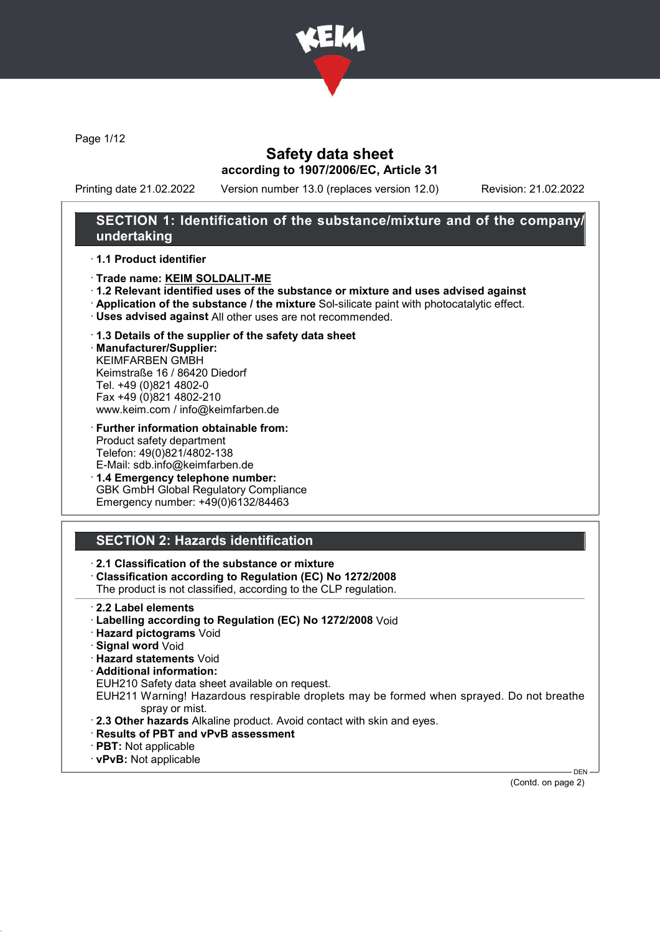

Page 1/12

### Safety data sheet according to 1907/2006/EC, Article 31

Printing date 21.02.2022 Version number 13.0 (replaces version 12.0) Revision: 21.02.2022

### SECTION 1: Identification of the substance/mixture and of the company/ undertaking

#### · 1.1 Product identifier

- · Trade name: KEIM SOLDALIT-ME
- · 1.2 Relevant identified uses of the substance or mixture and uses advised against
- · Application of the substance / the mixture Sol-silicate paint with photocatalytic effect.
- · Uses advised against All other uses are not recommended.
- · 1.3 Details of the supplier of the safety data sheet

· Manufacturer/Supplier: KEIMFARBEN GMBH Keimstraße 16 / 86420 Diedorf Tel. +49 (0)821 4802-0 Fax +49 (0)821 4802-210 www.keim.com / info@keimfarben.de

- · Further information obtainable from: Product safety department Telefon: 49(0)821/4802-138 E-Mail: sdb.info@keimfarben.de
- · 1.4 Emergency telephone number: GBK GmbH Global Regulatory Compliance Emergency number: +49(0)6132/84463

## SECTION 2: Hazards identification

### · 2.1 Classification of the substance or mixture

· Classification according to Regulation (EC) No 1272/2008

The product is not classified, according to the CLP regulation.

- · 2.2 Label elements
- · Labelling according to Regulation (EC) No 1272/2008 Void
- · Hazard pictograms Void
- · Signal word Void
- · Hazard statements Void
- · Additional information:
- EUH210 Safety data sheet available on request.

EUH211 Warning! Hazardous respirable droplets may be formed when sprayed. Do not breathe spray or mist.

- · 2.3 Other hazards Alkaline product. Avoid contact with skin and eyes.
- · Results of PBT and vPvB assessment
- · PBT: Not applicable
- · vPvB: Not applicable

DEN (Contd. on page 2)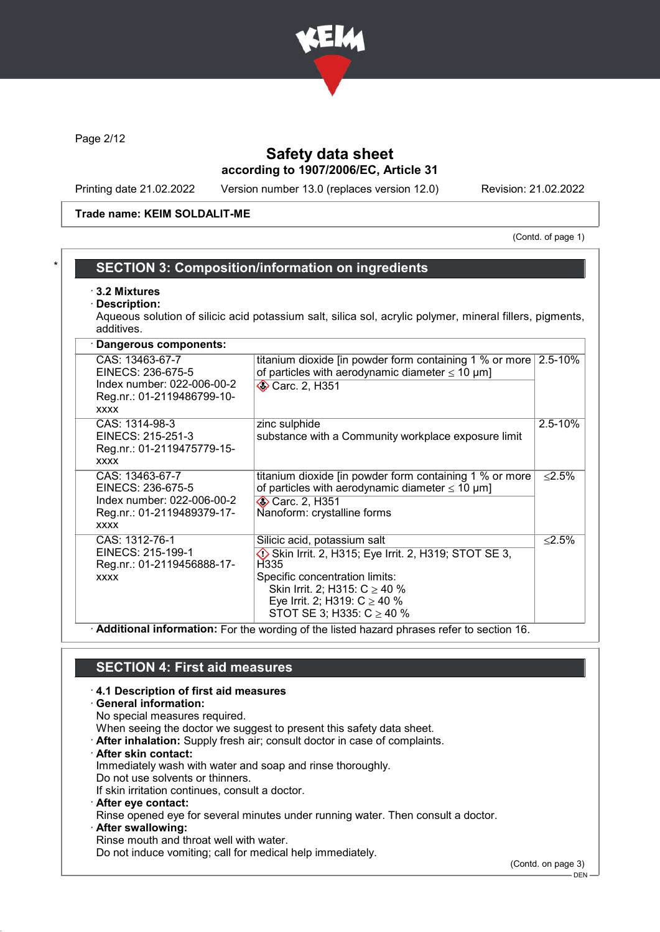

Page 2/12

## Safety data sheet according to 1907/2006/EC, Article 31

Printing date 21.02.2022 Version number 13.0 (replaces version 12.0) Revision: 21.02.2022

#### Trade name: KEIM SOLDALIT-ME

(Contd. of page 1)

### SECTION 3: Composition/information on ingredients

#### · 3.2 Mixtures

Description:

Aqueous solution of silicic acid potassium salt, silica sol, acrylic polymer, mineral fillers, pigments, additives.

| Dangerous components:                                                                                           |                                                                                                                                                                                                                                                        |             |
|-----------------------------------------------------------------------------------------------------------------|--------------------------------------------------------------------------------------------------------------------------------------------------------------------------------------------------------------------------------------------------------|-------------|
| CAS: 13463-67-7<br>EINECS: 236-675-5<br>Index number: 022-006-00-2<br>Reg.nr.: 01-2119486799-10-<br><b>XXXX</b> | titanium dioxide [in powder form containing 1 % or more<br>of particles with aerodynamic diameter $\leq 10 \mu m$ ]<br><b>◆ Carc. 2, H351</b>                                                                                                          | 2.5-10%     |
| CAS: 1314-98-3<br>EINECS: 215-251-3<br>Reg.nr.: 01-2119475779-15-<br><b>XXXX</b>                                | zinc sulphide<br>substance with a Community workplace exposure limit                                                                                                                                                                                   | $2.5 - 10%$ |
| CAS: 13463-67-7<br>EINECS: 236-675-5<br>Index number: 022-006-00-2<br>Reg.nr.: 01-2119489379-17-<br><b>XXXX</b> | titanium dioxide [in powder form containing 1 % or more<br>of particles with aerodynamic diameter $\leq 10 \mu m$ ]<br><b>◆ Carc. 2, H351</b><br>Nanoform: crystalline forms                                                                           | ≤2.5%       |
| CAS: 1312-76-1<br>EINECS: 215-199-1<br>Reg.nr.: 01-2119456888-17-<br><b>XXXX</b>                                | Silicic acid, potassium salt<br>$\diamondsuit$ Skin Irrit. 2, H315; Eye Irrit. 2, H319; STOT SE 3,<br>H335<br>Specific concentration limits:<br>Skin Irrit. 2; H315: $C \ge 40$ %<br>Eye Irrit. 2; H319: $C \ge 40$ %<br>STOT SE 3; H335: $C \ge 40$ % | $< 2.5\%$   |

· Additional information: For the wording of the listed hazard phrases refer to section 16.

### SECTION 4: First aid measures

#### · 4.1 Description of first aid measures

· General information: No special measures required. When seeing the doctor we suggest to present this safety data sheet. · After inhalation: Supply fresh air; consult doctor in case of complaints. · After skin contact: Immediately wash with water and soap and rinse thoroughly. Do not use solvents or thinners. If skin irritation continues, consult a doctor. · After eye contact: Rinse opened eye for several minutes under running water. Then consult a doctor. · After swallowing: Rinse mouth and throat well with water. Do not induce vomiting; call for medical help immediately.

(Contd. on page 3)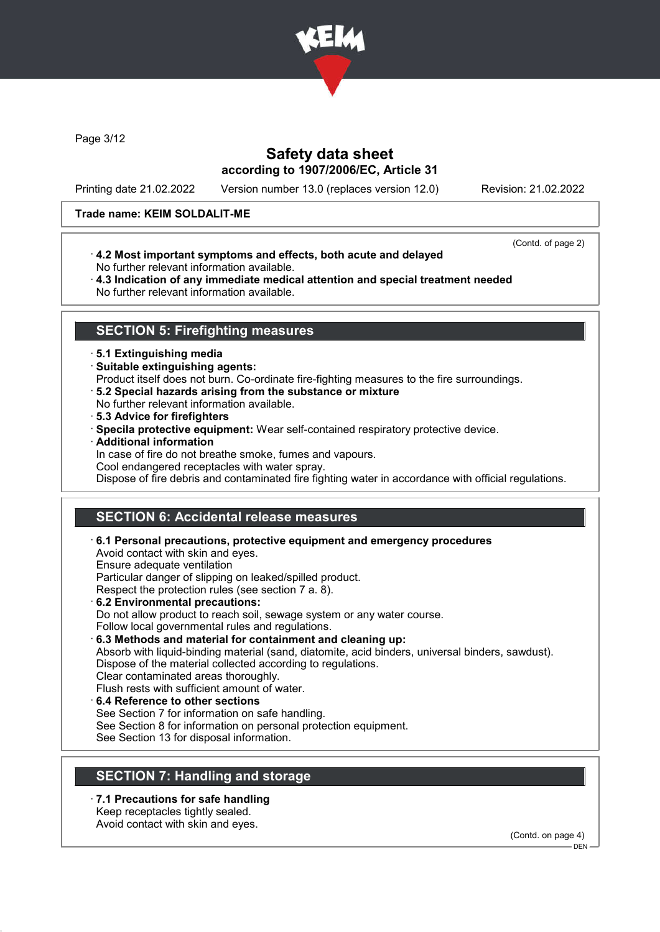

Page 3/12

## Safety data sheet according to 1907/2006/EC, Article 31

Printing date 21.02.2022 Version number 13.0 (replaces version 12.0) Revision: 21.02.2022

### Trade name: KEIM SOLDALIT-ME

(Contd. of page 2)

- · 4.2 Most important symptoms and effects, both acute and delayed No further relevant information available.
- · 4.3 Indication of any immediate medical attention and special treatment needed No further relevant information available.

## SECTION 5: Firefighting measures

### · 5.1 Extinguishing media

- · Suitable extinguishing agents:
- Product itself does not burn. Co-ordinate fire-fighting measures to the fire surroundings.
- · 5.2 Special hazards arising from the substance or mixture
- No further relevant information available.
- · 5.3 Advice for firefighters
- · Specila protective equipment: Wear self-contained respiratory protective device.
- · Additional information

In case of fire do not breathe smoke, fumes and vapours.

Cool endangered receptacles with water spray.

Dispose of fire debris and contaminated fire fighting water in accordance with official regulations.

## SECTION 6: Accidental release measures

- · 6.1 Personal precautions, protective equipment and emergency procedures Avoid contact with skin and eyes. Ensure adequate ventilation Particular danger of slipping on leaked/spilled product. Respect the protection rules (see section 7 a. 8). · 6.2 Environmental precautions: Do not allow product to reach soil, sewage system or any water course. Follow local governmental rules and regulations.
- · 6.3 Methods and material for containment and cleaning up: Absorb with liquid-binding material (sand, diatomite, acid binders, universal binders, sawdust). Dispose of the material collected according to regulations. Clear contaminated areas thoroughly. Flush rests with sufficient amount of water.
- · 6.4 Reference to other sections See Section 7 for information on safe handling. See Section 8 for information on personal protection equipment. See Section 13 for disposal information.

## SECTION 7: Handling and storage

· 7.1 Precautions for safe handling Keep receptacles tightly sealed. Avoid contact with skin and eyes.

(Contd. on page 4)

 $-$  DEN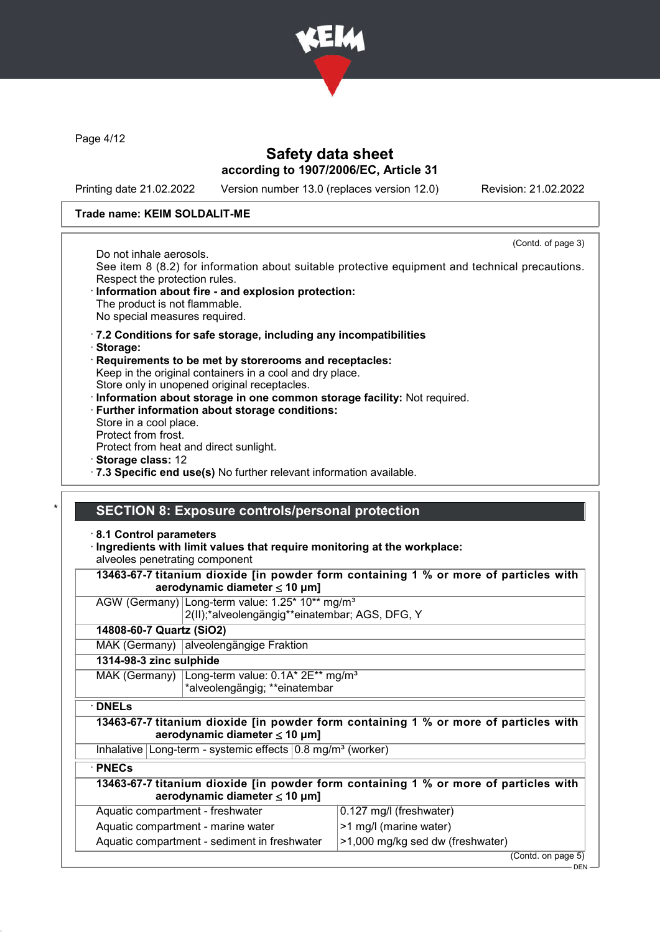

Page 4/12

## Safety data sheet according to 1907/2006/EC, Article 31

Printing date 21.02.2022 Version number 13.0 (replaces version 12.0) Revision: 21.02.2022

### Trade name: KEIM SOLDALIT-ME

(Contd. of page 3)

Do not inhale aerosols. See item 8 (8.2) for information about suitable protective equipment and technical precautions. Respect the protection rules.

- Information about fire and explosion protection: The product is not flammable. No special measures required.
- · 7.2 Conditions for safe storage, including any incompatibilities
- · Storage:
- · Requirements to be met by storerooms and receptacles: Keep in the original containers in a cool and dry place. Store only in unopened original receptacles.
- · Information about storage in one common storage facility: Not required.
- · Further information about storage conditions: Store in a cool place.

Protect from frost.

Protect from heat and direct sunlight.

- · Storage class: 12
- · 7.3 Specific end use(s) No further relevant information available.

### SECTION 8: Exposure controls/personal protection

· 8.1 Control parameters

#### · Ingredients with limit values that require monitoring at the workplace: alveoles penetrating component

| 13463-67-7 titanium dioxide [in powder form containing 1 % or more of particles with<br>aerodynamic diameter $\leq 10$ µm] |                                                                       |                                                                                      |  |  |  |
|----------------------------------------------------------------------------------------------------------------------------|-----------------------------------------------------------------------|--------------------------------------------------------------------------------------|--|--|--|
|                                                                                                                            | AGW (Germany) Long-term value: 1.25* 10** mg/m <sup>3</sup>           |                                                                                      |  |  |  |
|                                                                                                                            | 2(II);*alveolengängig**einatembar; AGS, DFG, Y                        |                                                                                      |  |  |  |
| 14808-60-7 Quartz (SiO2)                                                                                                   |                                                                       |                                                                                      |  |  |  |
|                                                                                                                            | MAK (Germany) alveolengängige Fraktion                                |                                                                                      |  |  |  |
| 1314-98-3 zinc sulphide                                                                                                    |                                                                       |                                                                                      |  |  |  |
|                                                                                                                            | MAK (Germany) $\lfloor$ Long-term value: 0.1A* 2E** mg/m <sup>3</sup> |                                                                                      |  |  |  |
|                                                                                                                            | *alveolengängig; **einatembar                                         |                                                                                      |  |  |  |
| $\cdot$ DNELs                                                                                                              |                                                                       |                                                                                      |  |  |  |
|                                                                                                                            | aerodynamic diameter $\leq$ 10 µm]                                    | 13463-67-7 titanium dioxide [in powder form containing 1 % or more of particles with |  |  |  |
|                                                                                                                            | Inhalative Long-term - systemic effects $0.8 \text{ mg/m}^3$ (worker) |                                                                                      |  |  |  |
| $\cdot$ PNECs                                                                                                              |                                                                       |                                                                                      |  |  |  |
|                                                                                                                            | aerodynamic diameter $\leq 10$ µm]                                    | 13463-67-7 titanium dioxide [in powder form containing 1 % or more of particles with |  |  |  |
| Aquatic compartment - freshwater                                                                                           |                                                                       | 0.127 mg/l (freshwater)                                                              |  |  |  |
|                                                                                                                            | Aquatic compartment - marine water                                    | >1 mg/l (marine water)                                                               |  |  |  |
|                                                                                                                            | Aquatic compartment - sediment in freshwater                          | >1,000 mg/kg sed dw (freshwater)                                                     |  |  |  |
|                                                                                                                            |                                                                       | (Contd. on page 5)                                                                   |  |  |  |

DEN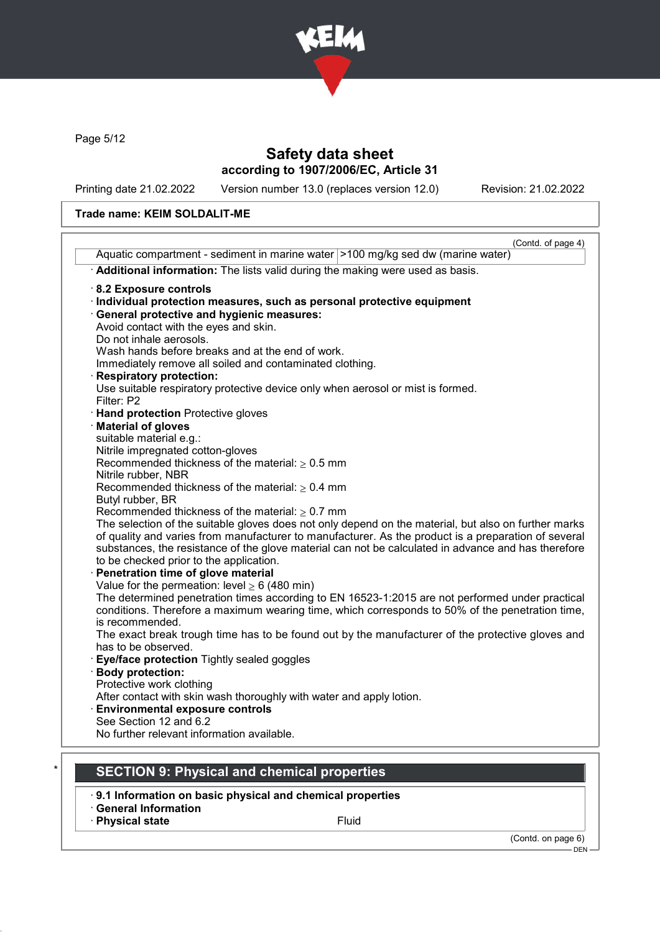

Page 5/12

## Safety data sheet according to 1907/2006/EC, Article 31

Printing date 21.02.2022 Version number 13.0 (replaces version 12.0) Revision: 21.02.2022

### Trade name: KEIM SOLDALIT-ME

| Aquatic compartment - sediment in marine water   > 100 mg/kg sed dw (marine water)                             | (Contd. of page 4) |
|----------------------------------------------------------------------------------------------------------------|--------------------|
|                                                                                                                |                    |
| Additional information: The lists valid during the making were used as basis.                                  |                    |
| 8.2 Exposure controls                                                                                          |                    |
| · Individual protection measures, such as personal protective equipment                                        |                    |
| <b>General protective and hygienic measures:</b>                                                               |                    |
| Avoid contact with the eyes and skin.                                                                          |                    |
| Do not inhale aerosols.                                                                                        |                    |
| Wash hands before breaks and at the end of work.                                                               |                    |
| Immediately remove all soiled and contaminated clothing.                                                       |                    |
| <b>Respiratory protection:</b>                                                                                 |                    |
| Use suitable respiratory protective device only when aerosol or mist is formed.                                |                    |
| Filter: P2                                                                                                     |                    |
| <b>Hand protection Protective gloves</b>                                                                       |                    |
| <b>Material of gloves</b>                                                                                      |                    |
| suitable material e.g.:                                                                                        |                    |
| Nitrile impregnated cotton-gloves<br>Recommended thickness of the material: $\geq 0.5$ mm                      |                    |
| Nitrile rubber, NBR                                                                                            |                    |
| Recommended thickness of the material: $\geq 0.4$ mm                                                           |                    |
| Butyl rubber, BR                                                                                               |                    |
| Recommended thickness of the material: $\geq 0.7$ mm                                                           |                    |
| The selection of the suitable gloves does not only depend on the material, but also on further marks           |                    |
| of quality and varies from manufacturer to manufacturer. As the product is a preparation of several            |                    |
| substances, the resistance of the glove material can not be calculated in advance and has therefore            |                    |
| to be checked prior to the application.                                                                        |                    |
| Penetration time of glove material                                                                             |                    |
| Value for the permeation: level $\geq 6$ (480 min)                                                             |                    |
| The determined penetration times according to EN 16523-1:2015 are not performed under practical                |                    |
| conditions. Therefore a maximum wearing time, which corresponds to 50% of the penetration time,                |                    |
| is recommended.                                                                                                |                    |
| The exact break trough time has to be found out by the manufacturer of the protective gloves and               |                    |
| has to be observed.                                                                                            |                    |
| Eye/face protection Tightly sealed goggles                                                                     |                    |
| <b>Body protection:</b>                                                                                        |                    |
| Protective work clothing                                                                                       |                    |
| After contact with skin wash thoroughly with water and apply lotion.<br><b>Environmental exposure controls</b> |                    |
| See Section 12 and 6.2                                                                                         |                    |
| No further relevant information available.                                                                     |                    |
|                                                                                                                |                    |
|                                                                                                                |                    |
| <b>SECTION 9: Physical and chemical properties</b>                                                             |                    |

- · 9.1 Information on basic physical and chemical properties
- · General Information · Physical state Fluid

(Contd. on page 6) DEN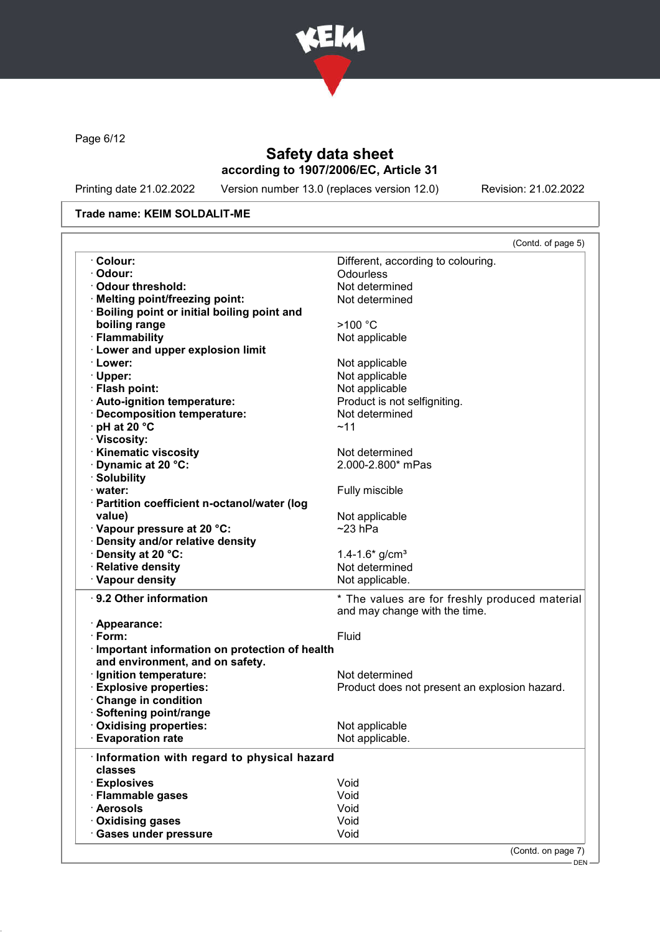

Page 6/12

## Safety data sheet according to 1907/2006/EC, Article 31

Printing date 21.02.2022 Version number 13.0 (replaces version 12.0) Revision: 21.02.2022

### Trade name: KEIM SOLDALIT-ME

|                                                       | (Contd. of page 5)                             |
|-------------------------------------------------------|------------------------------------------------|
| · Colour:                                             | Different, according to colouring.             |
| · Odour:                                              | Odourless                                      |
| Odour threshold:                                      | Not determined                                 |
| · Melting point/freezing point:                       | Not determined                                 |
| <b>Boiling point or initial boiling point and</b>     |                                                |
| boiling range                                         | >100 °C                                        |
| · Flammability                                        | Not applicable                                 |
| · Lower and upper explosion limit                     |                                                |
|                                                       |                                                |
| · Lower:                                              | Not applicable                                 |
| · Upper:                                              | Not applicable                                 |
| · Flash point:                                        | Not applicable                                 |
| · Auto-ignition temperature:                          | Product is not selfigniting.                   |
| · Decomposition temperature:                          | Not determined                                 |
| $\cdot$ pH at 20 $\degree$ C                          | ~11                                            |
| · Viscosity:                                          |                                                |
| <b>Kinematic viscosity</b>                            | Not determined                                 |
| · Dynamic at 20 °C:                                   | 2.000-2.800* mPas                              |
| · Solubility                                          |                                                |
| $\cdot$ water:                                        |                                                |
|                                                       | Fully miscible                                 |
| · Partition coefficient n-octanol/water (log          |                                                |
| value)                                                | Not applicable                                 |
| · Vapour pressure at 20 °C:                           | $~23$ hPa                                      |
| · Density and/or relative density                     |                                                |
| · Density at 20 °C:                                   | 1.4-1.6* $g/cm3$                               |
| · Relative density                                    | Not determined                                 |
| · Vapour density                                      | Not applicable.                                |
| $\cdot$ 9.2 Other information                         | * The values are for freshly produced material |
|                                                       | and may change with the time.                  |
| · Appearance:                                         |                                                |
| $\cdot$ Form:                                         | Fluid                                          |
| · Important information on protection of health       |                                                |
| and environment, and on safety.                       |                                                |
| · Ignition temperature:                               |                                                |
|                                                       | Not determined                                 |
| <b>Explosive properties:</b>                          | Product does not present an explosion hazard.  |
| Change in condition                                   |                                                |
| · Softening point/range                               |                                                |
| · Oxidising properties:                               | Not applicable                                 |
| <b>Evaporation rate</b>                               | Not applicable.                                |
| Information with regard to physical hazard            |                                                |
| classes                                               |                                                |
| · Explosives                                          | Void                                           |
| · Flammable gases                                     | Void                                           |
|                                                       | Void                                           |
|                                                       |                                                |
| · Aerosols                                            |                                                |
| <b>Oxidising gases</b><br><b>Gases under pressure</b> | Void<br>Void                                   |

- DEN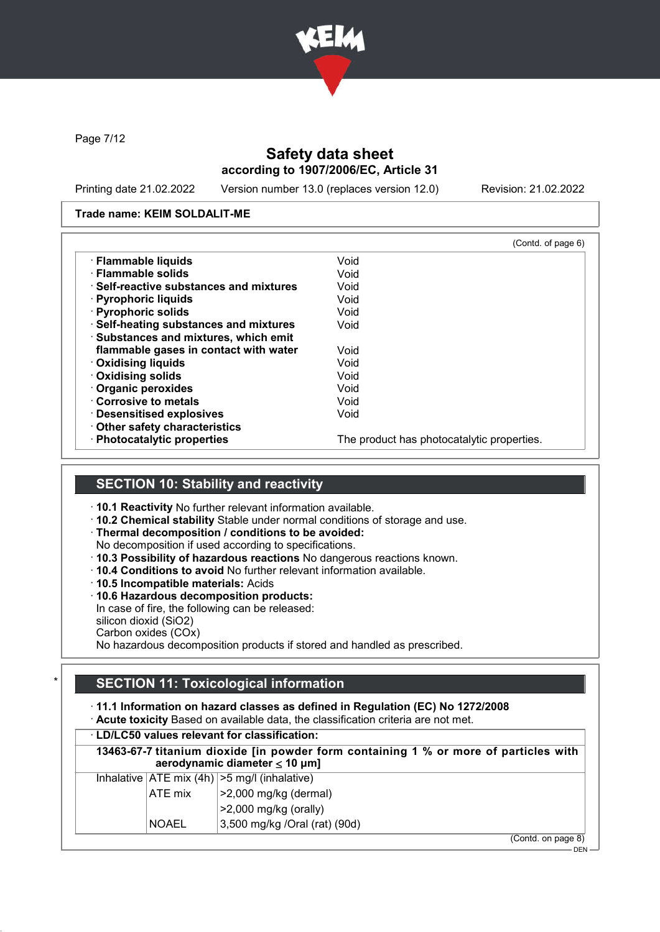

Page 7/12

## Safety data sheet according to 1907/2006/EC, Article 31

Printing date 21.02.2022 Version number 13.0 (replaces version 12.0) Revision: 21.02.2022

#### Trade name: KEIM SOLDALIT-ME

| (Contd. of page 6)                         |
|--------------------------------------------|
| Void                                       |
| Void                                       |
| Void                                       |
| Void                                       |
| Void                                       |
| Void                                       |
|                                            |
| Void                                       |
| Void                                       |
| Void                                       |
| Void                                       |
| Void                                       |
| Void                                       |
|                                            |
| The product has photocatalytic properties. |
|                                            |

## SECTION 10: Stability and reactivity

· 10.1 Reactivity No further relevant information available.

· 10.2 Chemical stability Stable under normal conditions of storage and use.

· Thermal decomposition / conditions to be avoided:

No decomposition if used according to specifications.

- · 10.3 Possibility of hazardous reactions No dangerous reactions known.
- · 10.4 Conditions to avoid No further relevant information available.

· 10.5 Incompatible materials: Acids

· 10.6 Hazardous decomposition products:

In case of fire, the following can be released:

silicon dioxid (SiO2)

Carbon oxides (COx)

No hazardous decomposition products if stored and handled as prescribed.

## SECTION 11: Toxicological information

· 11.1 Information on hazard classes as defined in Regulation (EC) No 1272/2008

· Acute toxicity Based on available data, the classification criteria are not met.

| 13463-67-7 titanium dioxide [in powder form containing 1 % or more of particles with<br>aerodynamic diameter $\leq 10$ µm] |              |                                                                      |
|----------------------------------------------------------------------------------------------------------------------------|--------------|----------------------------------------------------------------------|
|                                                                                                                            |              | Inhalative $ ATE \text{ mix } (4h)   > 5 \text{ mg/l } (inhalative)$ |
|                                                                                                                            | ATE mix      | $ >2,000$ mg/kg (dermal)                                             |
|                                                                                                                            |              | $>2,000$ mg/kg (orally)                                              |
|                                                                                                                            | <b>NOAEL</b> | 3,500 mg/kg /Oral (rat) (90d)                                        |
|                                                                                                                            |              | (Contd. on page 8)                                                   |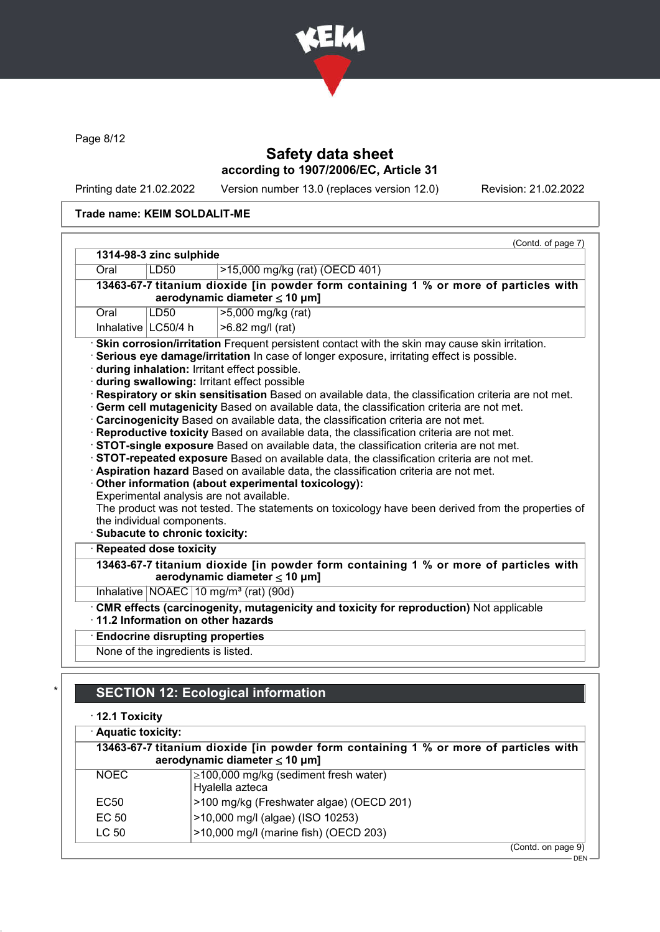

Page 8/12

## Safety data sheet according to 1907/2006/EC, Article 31

Printing date 21.02.2022 Version number 13.0 (replaces version 12.0) Revision: 21.02.2022

### Trade name: KEIM SOLDALIT-ME

| 1314-98-3 zinc sulphide<br>>15,000 mg/kg (rat) (OECD 401)<br>LD50<br>13463-67-7 titanium dioxide [in powder form containing 1 % or more of particles with<br>aerodynamic diameter ≤ 10 µm]<br>>5,000 mg/kg (rat)<br>LD50<br>Inhalative $ LC50/4$ h<br>>6.82 mg/l (rat)<br>· Skin corrosion/irritation Frequent persistent contact with the skin may cause skin irritation.<br>· Serious eye damage/irritation In case of longer exposure, irritating effect is possible.<br>during inhalation: Irritant effect possible.<br>during swallowing: Irritant effect possible<br>· Respiratory or skin sensitisation Based on available data, the classification criteria are not met.<br>Germ cell mutagenicity Based on available data, the classification criteria are not met.<br>· Carcinogenicity Based on available data, the classification criteria are not met.<br>· Reproductive toxicity Based on available data, the classification criteria are not met.<br>STOT-single exposure Based on available data, the classification criteria are not met.<br>STOT-repeated exposure Based on available data, the classification criteria are not met.<br>· Aspiration hazard Based on available data, the classification criteria are not met.<br>Other information (about experimental toxicology):<br>Experimental analysis are not available.<br>The product was not tested. The statements on toxicology have been derived from the properties of<br>the individual components.<br>· Subacute to chronic toxicity:<br>· Repeated dose toxicity<br>13463-67-7 titanium dioxide [in powder form containing 1 % or more of particles with<br>aerodynamic diameter $\leq 10$ µm]<br>Inhalative NOAEC 10 mg/m <sup>3</sup> (rat) (90d)<br>· CMR effects (carcinogenity, mutagenicity and toxicity for reproduction) Not applicable<br>$\cdot$ 11.2 Information on other hazards<br><b>Endocrine disrupting properties</b><br>None of the ingredients is listed. |      |      | (Contd. of page 7) |  |  |
|-----------------------------------------------------------------------------------------------------------------------------------------------------------------------------------------------------------------------------------------------------------------------------------------------------------------------------------------------------------------------------------------------------------------------------------------------------------------------------------------------------------------------------------------------------------------------------------------------------------------------------------------------------------------------------------------------------------------------------------------------------------------------------------------------------------------------------------------------------------------------------------------------------------------------------------------------------------------------------------------------------------------------------------------------------------------------------------------------------------------------------------------------------------------------------------------------------------------------------------------------------------------------------------------------------------------------------------------------------------------------------------------------------------------------------------------------------------------------------------------------------------------------------------------------------------------------------------------------------------------------------------------------------------------------------------------------------------------------------------------------------------------------------------------------------------------------------------------------------------------------------------------------------------------------------------------------------------------|------|------|--------------------|--|--|
|                                                                                                                                                                                                                                                                                                                                                                                                                                                                                                                                                                                                                                                                                                                                                                                                                                                                                                                                                                                                                                                                                                                                                                                                                                                                                                                                                                                                                                                                                                                                                                                                                                                                                                                                                                                                                                                                                                                                                                 |      |      |                    |  |  |
|                                                                                                                                                                                                                                                                                                                                                                                                                                                                                                                                                                                                                                                                                                                                                                                                                                                                                                                                                                                                                                                                                                                                                                                                                                                                                                                                                                                                                                                                                                                                                                                                                                                                                                                                                                                                                                                                                                                                                                 |      | Oral |                    |  |  |
|                                                                                                                                                                                                                                                                                                                                                                                                                                                                                                                                                                                                                                                                                                                                                                                                                                                                                                                                                                                                                                                                                                                                                                                                                                                                                                                                                                                                                                                                                                                                                                                                                                                                                                                                                                                                                                                                                                                                                                 |      |      |                    |  |  |
|                                                                                                                                                                                                                                                                                                                                                                                                                                                                                                                                                                                                                                                                                                                                                                                                                                                                                                                                                                                                                                                                                                                                                                                                                                                                                                                                                                                                                                                                                                                                                                                                                                                                                                                                                                                                                                                                                                                                                                 |      |      |                    |  |  |
|                                                                                                                                                                                                                                                                                                                                                                                                                                                                                                                                                                                                                                                                                                                                                                                                                                                                                                                                                                                                                                                                                                                                                                                                                                                                                                                                                                                                                                                                                                                                                                                                                                                                                                                                                                                                                                                                                                                                                                 | Oral |      |                    |  |  |
|                                                                                                                                                                                                                                                                                                                                                                                                                                                                                                                                                                                                                                                                                                                                                                                                                                                                                                                                                                                                                                                                                                                                                                                                                                                                                                                                                                                                                                                                                                                                                                                                                                                                                                                                                                                                                                                                                                                                                                 |      |      |                    |  |  |
|                                                                                                                                                                                                                                                                                                                                                                                                                                                                                                                                                                                                                                                                                                                                                                                                                                                                                                                                                                                                                                                                                                                                                                                                                                                                                                                                                                                                                                                                                                                                                                                                                                                                                                                                                                                                                                                                                                                                                                 |      |      |                    |  |  |
|                                                                                                                                                                                                                                                                                                                                                                                                                                                                                                                                                                                                                                                                                                                                                                                                                                                                                                                                                                                                                                                                                                                                                                                                                                                                                                                                                                                                                                                                                                                                                                                                                                                                                                                                                                                                                                                                                                                                                                 |      |      |                    |  |  |
|                                                                                                                                                                                                                                                                                                                                                                                                                                                                                                                                                                                                                                                                                                                                                                                                                                                                                                                                                                                                                                                                                                                                                                                                                                                                                                                                                                                                                                                                                                                                                                                                                                                                                                                                                                                                                                                                                                                                                                 |      |      |                    |  |  |
|                                                                                                                                                                                                                                                                                                                                                                                                                                                                                                                                                                                                                                                                                                                                                                                                                                                                                                                                                                                                                                                                                                                                                                                                                                                                                                                                                                                                                                                                                                                                                                                                                                                                                                                                                                                                                                                                                                                                                                 |      |      |                    |  |  |
|                                                                                                                                                                                                                                                                                                                                                                                                                                                                                                                                                                                                                                                                                                                                                                                                                                                                                                                                                                                                                                                                                                                                                                                                                                                                                                                                                                                                                                                                                                                                                                                                                                                                                                                                                                                                                                                                                                                                                                 |      |      |                    |  |  |
|                                                                                                                                                                                                                                                                                                                                                                                                                                                                                                                                                                                                                                                                                                                                                                                                                                                                                                                                                                                                                                                                                                                                                                                                                                                                                                                                                                                                                                                                                                                                                                                                                                                                                                                                                                                                                                                                                                                                                                 |      |      |                    |  |  |
|                                                                                                                                                                                                                                                                                                                                                                                                                                                                                                                                                                                                                                                                                                                                                                                                                                                                                                                                                                                                                                                                                                                                                                                                                                                                                                                                                                                                                                                                                                                                                                                                                                                                                                                                                                                                                                                                                                                                                                 |      |      |                    |  |  |

# **SECTION 12: Ecological information**

### · 12.1 Toxicity

|  | · Aquatic toxicity: |  |
|--|---------------------|--|
|  |                     |  |

| 13463-67-7 titanium dioxide [in powder form containing 1 % or more of particles with<br>aerodynamic diameter $\leq 10 \mu m$ ] |                                                                |
|--------------------------------------------------------------------------------------------------------------------------------|----------------------------------------------------------------|
| NOEC.                                                                                                                          | $\geq$ 100,000 mg/kg (sediment fresh water)<br>Hyalella azteca |
| EC50                                                                                                                           | >100 mg/kg (Freshwater algae) (OECD 201)                       |
| EC 50                                                                                                                          | >10,000 mg/l (algae) (ISO 10253)                               |
| LC 50                                                                                                                          | $>10,000$ mg/l (marine fish) (OECD 203)                        |
|                                                                                                                                | $(0.0001)$ and $(0.0000)$                                      |

(Contd. on page 9)

DEN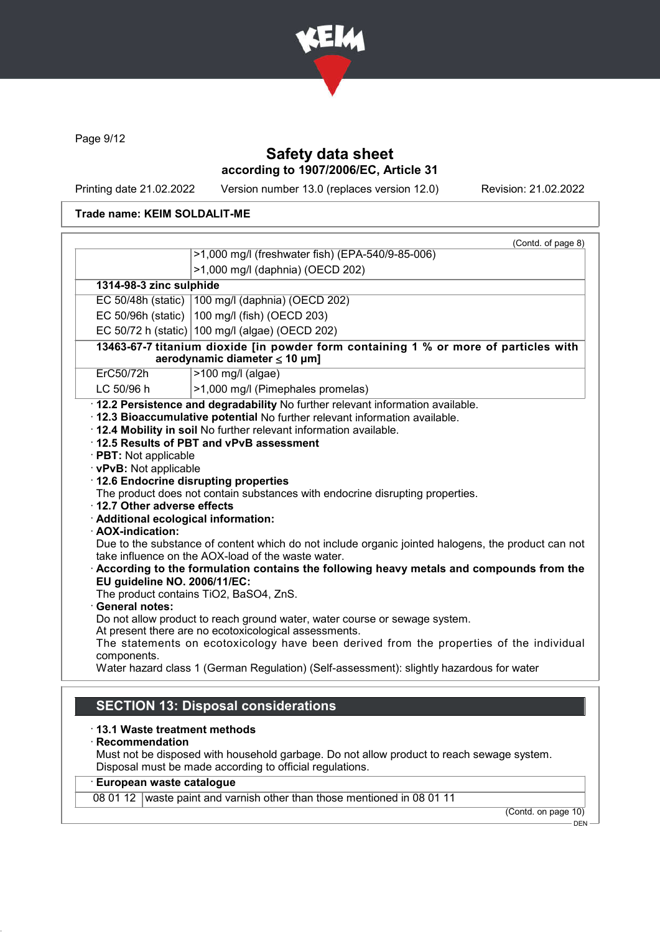

Page 9/12

## Safety data sheet according to 1907/2006/EC, Article 31

Printing date 21.02.2022 Version number 13.0 (replaces version 12.0) Revision: 21.02.2022

### Trade name: KEIM SOLDALIT-ME

| >1,000 mg/l (freshwater fish) (EPA-540/9-85-006)<br>>1,000 mg/l (daphnia) (OECD 202)<br>1314-98-3 zinc sulphide<br>EC 50/48h (static)   100 mg/l (daphnia) (OECD 202)<br>EC 50/96h (static) $ 100 \text{ mg/l}$ (fish) (OECD 203)<br>EC 50/72 h (static) 100 mg/l (algae) (OECD 202)<br>13463-67-7 titanium dioxide [in powder form containing 1 % or more of particles with<br>aerodynamic diameter $\leq$ 10 µm]<br>ErC50/72h<br>>100 mg/l (algae)<br>LC 50/96 h<br>>1,000 mg/l (Pimephales promelas)<br>· 12.2 Persistence and degradability No further relevant information available.<br>· 12.3 Bioaccumulative potential No further relevant information available.<br>. 12.4 Mobility in soil No further relevant information available.<br>12.5 Results of PBT and vPvB assessment<br>· PBT: Not applicable<br>· vPvB: Not applicable<br>· 12.6 Endocrine disrupting properties<br>The product does not contain substances with endocrine disrupting properties.<br>$\cdot$ 12.7 Other adverse effects<br>· Additional ecological information:<br>· AOX-indication:<br>Due to the substance of content which do not include organic jointed halogens, the product can not<br>take influence on the AOX-load of the waste water.<br>According to the formulation contains the following heavy metals and compounds from the<br>EU guideline NO. 2006/11/EC:<br>The product contains TiO2, BaSO4, ZnS.<br><b>General notes:</b><br>Do not allow product to reach ground water, water course or sewage system. | (Contd. of page 8)                                                      |
|---------------------------------------------------------------------------------------------------------------------------------------------------------------------------------------------------------------------------------------------------------------------------------------------------------------------------------------------------------------------------------------------------------------------------------------------------------------------------------------------------------------------------------------------------------------------------------------------------------------------------------------------------------------------------------------------------------------------------------------------------------------------------------------------------------------------------------------------------------------------------------------------------------------------------------------------------------------------------------------------------------------------------------------------------------------------------------------------------------------------------------------------------------------------------------------------------------------------------------------------------------------------------------------------------------------------------------------------------------------------------------------------------------------------------------------------------------------------------------------------------------------------|-------------------------------------------------------------------------|
|                                                                                                                                                                                                                                                                                                                                                                                                                                                                                                                                                                                                                                                                                                                                                                                                                                                                                                                                                                                                                                                                                                                                                                                                                                                                                                                                                                                                                                                                                                                     |                                                                         |
|                                                                                                                                                                                                                                                                                                                                                                                                                                                                                                                                                                                                                                                                                                                                                                                                                                                                                                                                                                                                                                                                                                                                                                                                                                                                                                                                                                                                                                                                                                                     |                                                                         |
|                                                                                                                                                                                                                                                                                                                                                                                                                                                                                                                                                                                                                                                                                                                                                                                                                                                                                                                                                                                                                                                                                                                                                                                                                                                                                                                                                                                                                                                                                                                     |                                                                         |
|                                                                                                                                                                                                                                                                                                                                                                                                                                                                                                                                                                                                                                                                                                                                                                                                                                                                                                                                                                                                                                                                                                                                                                                                                                                                                                                                                                                                                                                                                                                     |                                                                         |
|                                                                                                                                                                                                                                                                                                                                                                                                                                                                                                                                                                                                                                                                                                                                                                                                                                                                                                                                                                                                                                                                                                                                                                                                                                                                                                                                                                                                                                                                                                                     |                                                                         |
|                                                                                                                                                                                                                                                                                                                                                                                                                                                                                                                                                                                                                                                                                                                                                                                                                                                                                                                                                                                                                                                                                                                                                                                                                                                                                                                                                                                                                                                                                                                     |                                                                         |
|                                                                                                                                                                                                                                                                                                                                                                                                                                                                                                                                                                                                                                                                                                                                                                                                                                                                                                                                                                                                                                                                                                                                                                                                                                                                                                                                                                                                                                                                                                                     |                                                                         |
|                                                                                                                                                                                                                                                                                                                                                                                                                                                                                                                                                                                                                                                                                                                                                                                                                                                                                                                                                                                                                                                                                                                                                                                                                                                                                                                                                                                                                                                                                                                     |                                                                         |
|                                                                                                                                                                                                                                                                                                                                                                                                                                                                                                                                                                                                                                                                                                                                                                                                                                                                                                                                                                                                                                                                                                                                                                                                                                                                                                                                                                                                                                                                                                                     |                                                                         |
| The statements on ecotoxicology have been derived from the properties of the individual<br>components.<br>Water hazard class 1 (German Regulation) (Self-assessment): slightly hazardous for water                                                                                                                                                                                                                                                                                                                                                                                                                                                                                                                                                                                                                                                                                                                                                                                                                                                                                                                                                                                                                                                                                                                                                                                                                                                                                                                  | At present there are no ecotoxicological assessments.                   |
|                                                                                                                                                                                                                                                                                                                                                                                                                                                                                                                                                                                                                                                                                                                                                                                                                                                                                                                                                                                                                                                                                                                                                                                                                                                                                                                                                                                                                                                                                                                     |                                                                         |
| $\cdot$ 13.1 Waste treatment methods<br>$\cdot$ Recommendation<br>Must not be disposed with household garbage. Do not allow product to reach sewage system.<br>Disposal must be made according to official regulations.                                                                                                                                                                                                                                                                                                                                                                                                                                                                                                                                                                                                                                                                                                                                                                                                                                                                                                                                                                                                                                                                                                                                                                                                                                                                                             |                                                                         |
| · European waste catalogue                                                                                                                                                                                                                                                                                                                                                                                                                                                                                                                                                                                                                                                                                                                                                                                                                                                                                                                                                                                                                                                                                                                                                                                                                                                                                                                                                                                                                                                                                          | 08 01 12 waste paint and varnish other than those mentioned in 08 01 11 |

(Contd. on page 10) – DEN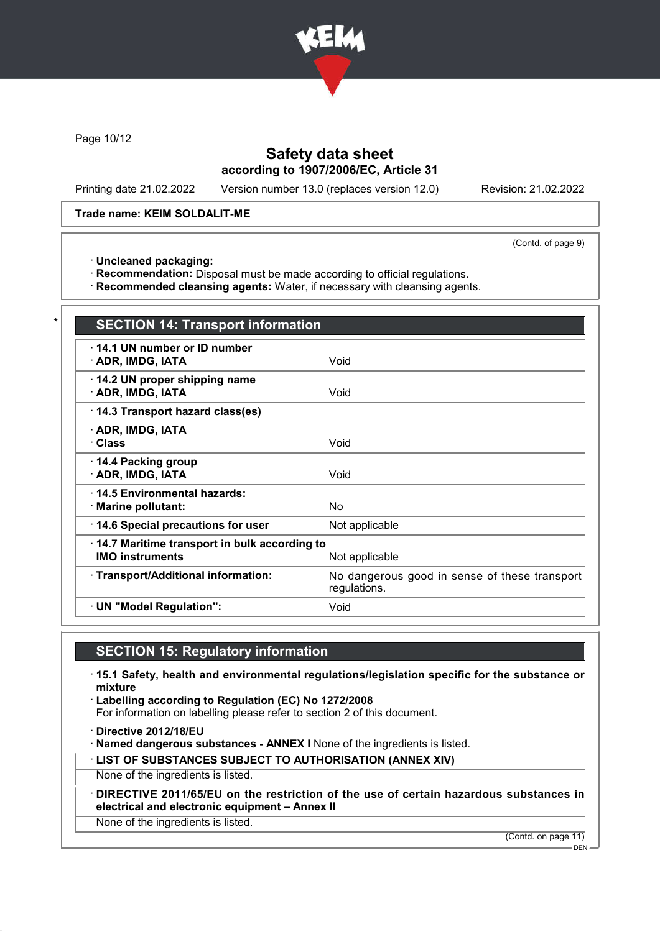

Page 10/12

## Safety data sheet according to 1907/2006/EC, Article 31

Printing date 21.02.2022 Version number 13.0 (replaces version 12.0) Revision: 21.02.2022

Trade name: KEIM SOLDALIT-ME

(Contd. of page 9)

· Uncleaned packaging:

· Recommendation: Disposal must be made according to official regulations.

· Recommended cleansing agents: Water, if necessary with cleansing agents.

| <b>SECTION 14: Transport information</b>                                                 |                                                               |  |
|------------------------------------------------------------------------------------------|---------------------------------------------------------------|--|
| 14.1 UN number or ID number<br>· ADR, IMDG, IATA                                         | Void                                                          |  |
| 14.2 UN proper shipping name<br>· ADR, IMDG, IATA                                        | Void                                                          |  |
| 14.3 Transport hazard class(es)                                                          |                                                               |  |
| · ADR, IMDG, IATA<br>· Class                                                             | Void                                                          |  |
| 14.4 Packing group<br>· ADR, IMDG, IATA                                                  | Void                                                          |  |
| 14.5 Environmental hazards:<br>· Marine pollutant:                                       | No.                                                           |  |
| 14.6 Special precautions for user                                                        | Not applicable                                                |  |
| 14.7 Maritime transport in bulk according to<br><b>IMO instruments</b><br>Not applicable |                                                               |  |
| · Transport/Additional information:                                                      | No dangerous good in sense of these transport<br>regulations. |  |
| · UN "Model Regulation":                                                                 | Void                                                          |  |

# SECTION 15: Regulatory information

· 15.1 Safety, health and environmental regulations/legislation specific for the substance or mixture

· Labelling according to Regulation (EC) No 1272/2008

For information on labelling please refer to section 2 of this document.

· Directive 2012/18/EU

· Named dangerous substances - ANNEX I None of the ingredients is listed.

· LIST OF SUBSTANCES SUBJECT TO AUTHORISATION (ANNEX XIV)

None of the ingredients is listed.

DIRECTIVE 2011/65/EU on the restriction of the use of certain hazardous substances in electrical and electronic equipment – Annex II

None of the ingredients is listed.

(Contd. on page 11)

DEN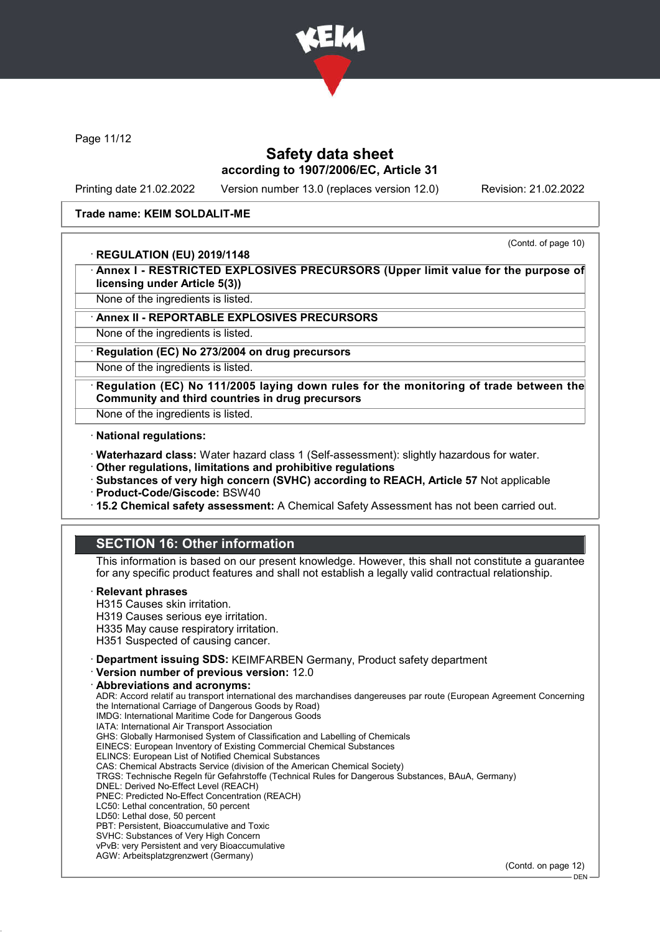

Page 11/12

### Safety data sheet according to 1907/2006/EC, Article 31

Printing date 21.02.2022 Version number 13.0 (replaces version 12.0) Revision: 21.02.2022

#### Trade name: KEIM SOLDALIT-ME

#### · REGULATION (EU) 2019/1148

(Contd. of page 10)

- Annex I RESTRICTED EXPLOSIVES PRECURSORS (Upper limit value for the purpose of licensing under Article 5(3))
- None of the ingredients is listed.

#### Annex II - REPORTABLE EXPLOSIVES PRECURSORS

None of the ingredients is listed.

Regulation (EC) No 273/2004 on drug precursors

None of the ingredients is listed.

Regulation (EC) No 111/2005 laying down rules for the monitoring of trade between the Community and third countries in drug precursors

None of the ingredients is listed.

- · National regulations:
- · Waterhazard class: Water hazard class 1 (Self-assessment): slightly hazardous for water.
- · Other regulations, limitations and prohibitive regulations
- · Substances of very high concern (SVHC) according to REACH, Article 57 Not applicable
- · Product-Code/Giscode: BSW40
- · 15.2 Chemical safety assessment: A Chemical Safety Assessment has not been carried out.

## SECTION 16: Other information

This information is based on our present knowledge. However, this shall not constitute a guarantee for any specific product features and shall not establish a legally valid contractual relationship.

#### **Relevant phrases**

- H315 Causes skin irritation.
- H319 Causes serious eye irritation.
- H335 May cause respiratory irritation.
- H351 Suspected of causing cancer.
- · Department issuing SDS: KEIMFARBEN Germany, Product safety department
- · Version number of previous version: 12.0

· Abbreviations and acronyms: ADR: Accord relatif au transport international des marchandises dangereuses par route (European Agreement Concerning the International Carriage of Dangerous Goods by Road) IMDG: International Maritime Code for Dangerous Goods IATA: International Air Transport Association GHS: Globally Harmonised System of Classification and Labelling of Chemicals EINECS: European Inventory of Existing Commercial Chemical Substances ELINCS: European List of Notified Chemical Substances CAS: Chemical Abstracts Service (division of the American Chemical Society) TRGS: Technische Regeln für Gefahrstoffe (Technical Rules for Dangerous Substances, BAuA, Germany) DNEL: Derived No-Effect Level (REACH) PNEC: Predicted No-Effect Concentration (REACH) LC50: Lethal concentration, 50 percent LD50: Lethal dose, 50 percent PBT: Persistent, Bioaccumulative and Toxic SVHC: Substances of Very High Concern vPvB: very Persistent and very Bioaccumulative AGW: Arbeitsplatzgrenzwert (Germany) (Contd. on page 12)